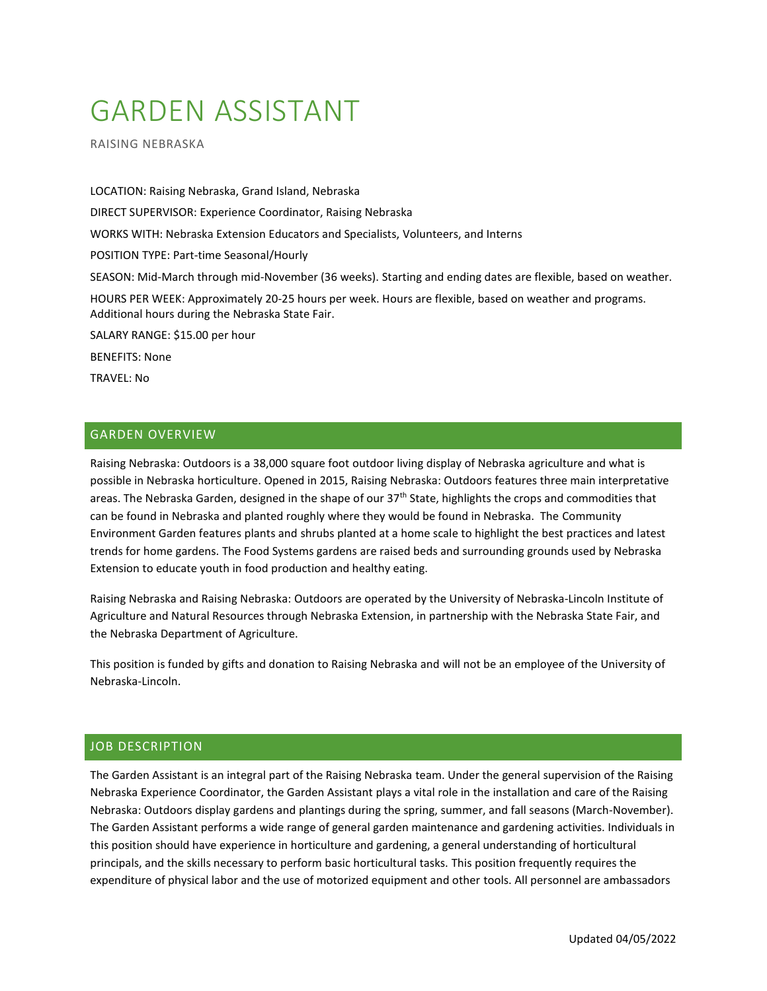# GARDEN ASSISTANT

RAISING NEBRASKA

LOCATION: Raising Nebraska, Grand Island, Nebraska DIRECT SUPERVISOR: Experience Coordinator, Raising Nebraska WORKS WITH: Nebraska Extension Educators and Specialists, Volunteers, and Interns POSITION TYPE: Part-time Seasonal/Hourly SEASON: Mid-March through mid-November (36 weeks). Starting and ending dates are flexible, based on weather. HOURS PER WEEK: Approximately 20-25 hours per week. Hours are flexible, based on weather and programs. Additional hours during the Nebraska State Fair. SALARY RANGE: \$15.00 per hour BENEFITS: None TRAVEL: No

# GARDEN OVERVIEW

Raising Nebraska: Outdoors is a 38,000 square foot outdoor living display of Nebraska agriculture and what is possible in Nebraska horticulture. Opened in 2015, Raising Nebraska: Outdoors features three main interpretative areas. The Nebraska Garden, designed in the shape of our 37<sup>th</sup> State, highlights the crops and commodities that can be found in Nebraska and planted roughly where they would be found in Nebraska. The Community Environment Garden features plants and shrubs planted at a home scale to highlight the best practices and latest trends for home gardens. The Food Systems gardens are raised beds and surrounding grounds used by Nebraska Extension to educate youth in food production and healthy eating.

Raising Nebraska and Raising Nebraska: Outdoors are operated by the University of Nebraska-Lincoln Institute of Agriculture and Natural Resources through Nebraska Extension, in partnership with the Nebraska State Fair, and the Nebraska Department of Agriculture.

This position is funded by gifts and donation to Raising Nebraska and will not be an employee of the University of Nebraska-Lincoln.

### JOB DESCRIPTION

The Garden Assistant is an integral part of the Raising Nebraska team. Under the general supervision of the Raising Nebraska Experience Coordinator, the Garden Assistant plays a vital role in the installation and care of the Raising Nebraska: Outdoors display gardens and plantings during the spring, summer, and fall seasons (March-November). The Garden Assistant performs a wide range of general garden maintenance and gardening activities. Individuals in this position should have experience in horticulture and gardening, a general understanding of horticultural principals, and the skills necessary to perform basic horticultural tasks. This position frequently requires the expenditure of physical labor and the use of motorized equipment and other tools. All personnel are ambassadors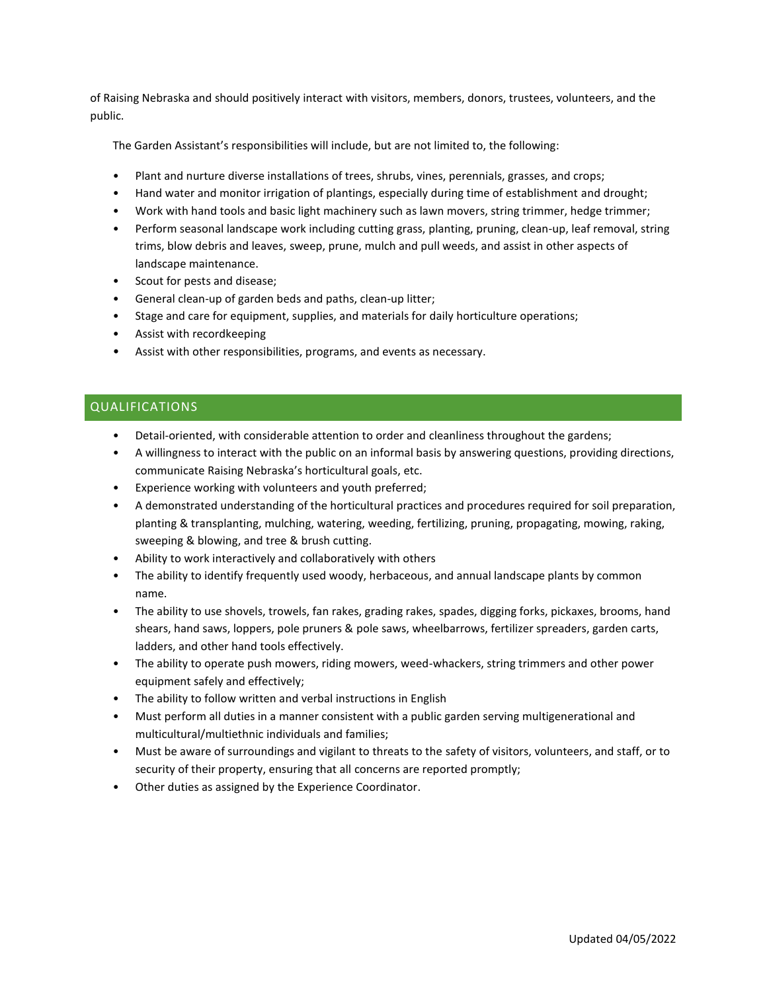of Raising Nebraska and should positively interact with visitors, members, donors, trustees, volunteers, and the public.

The Garden Assistant's responsibilities will include, but are not limited to, the following:

- Plant and nurture diverse installations of trees, shrubs, vines, perennials, grasses, and crops;
- Hand water and monitor irrigation of plantings, especially during time of establishment and drought;
- Work with hand tools and basic light machinery such as lawn movers, string trimmer, hedge trimmer;
- Perform seasonal landscape work including cutting grass, planting, pruning, clean-up, leaf removal, string trims, blow debris and leaves, sweep, prune, mulch and pull weeds, and assist in other aspects of landscape maintenance.
- Scout for pests and disease;
- General clean-up of garden beds and paths, clean-up litter;
- Stage and care for equipment, supplies, and materials for daily horticulture operations;
- Assist with recordkeeping
- Assist with other responsibilities, programs, and events as necessary.

## QUALIFICATIONS

- Detail-oriented, with considerable attention to order and cleanliness throughout the gardens;
- A willingness to interact with the public on an informal basis by answering questions, providing directions, communicate Raising Nebraska's horticultural goals, etc.
- Experience working with volunteers and youth preferred;
- A demonstrated understanding of the horticultural practices and procedures required for soil preparation, planting & transplanting, mulching, watering, weeding, fertilizing, pruning, propagating, mowing, raking, sweeping & blowing, and tree & brush cutting.
- Ability to work interactively and collaboratively with others
- The ability to identify frequently used woody, herbaceous, and annual landscape plants by common name.
- The ability to use shovels, trowels, fan rakes, grading rakes, spades, digging forks, pickaxes, brooms, hand shears, hand saws, loppers, pole pruners & pole saws, wheelbarrows, fertilizer spreaders, garden carts, ladders, and other hand tools effectively.
- The ability to operate push mowers, riding mowers, weed-whackers, string trimmers and other power equipment safely and effectively;
- The ability to follow written and verbal instructions in English
- Must perform all duties in a manner consistent with a public garden serving multigenerational and multicultural/multiethnic individuals and families;
- Must be aware of surroundings and vigilant to threats to the safety of visitors, volunteers, and staff, or to security of their property, ensuring that all concerns are reported promptly;
- Other duties as assigned by the Experience Coordinator.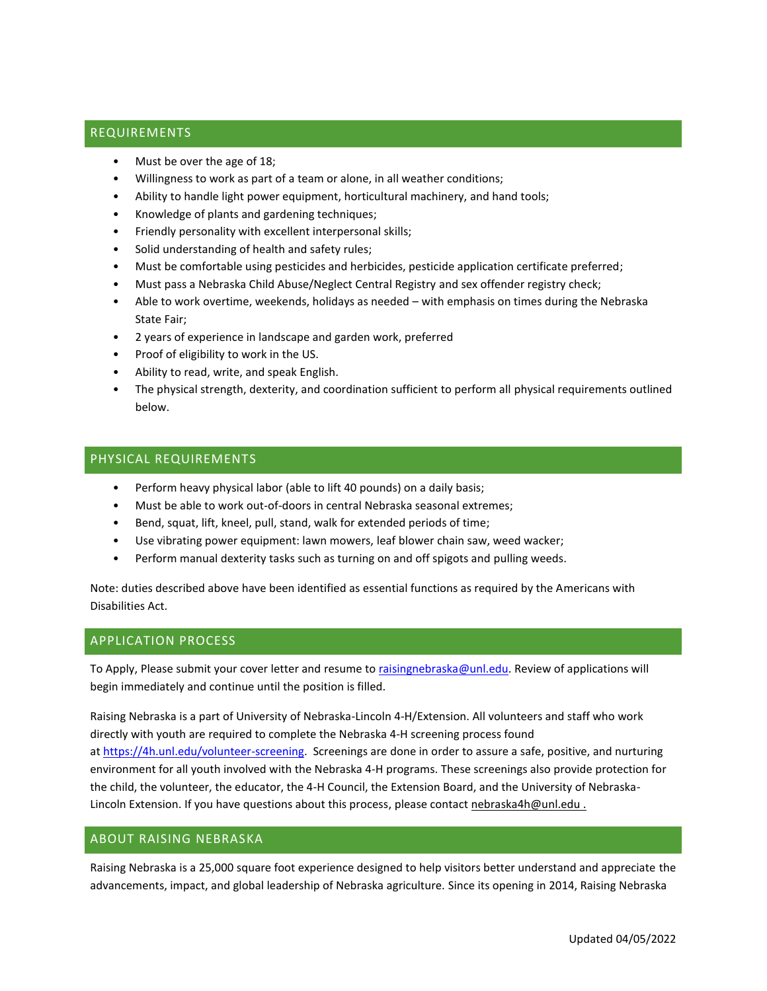## REQUIREMENTS

- Must be over the age of 18;
- Willingness to work as part of a team or alone, in all weather conditions;
- Ability to handle light power equipment, horticultural machinery, and hand tools;
- Knowledge of plants and gardening techniques;
- Friendly personality with excellent interpersonal skills;
- Solid understanding of health and safety rules;
- Must be comfortable using pesticides and herbicides, pesticide application certificate preferred;
- Must pass a Nebraska Child Abuse/Neglect Central Registry and sex offender registry check;
- Able to work overtime, weekends, holidays as needed with emphasis on times during the Nebraska State Fair;
- 2 years of experience in landscape and garden work, preferred
- Proof of eligibility to work in the US.
- Ability to read, write, and speak English.
- The physical strength, dexterity, and coordination sufficient to perform all physical requirements outlined below.

#### PHYSICAL REQUIREMENTS

- Perform heavy physical labor (able to lift 40 pounds) on a daily basis;
- Must be able to work out-of-doors in central Nebraska seasonal extremes;
- Bend, squat, lift, kneel, pull, stand, walk for extended periods of time;
- Use vibrating power equipment: lawn mowers, leaf blower chain saw, weed wacker;
- Perform manual dexterity tasks such as turning on and off spigots and pulling weeds.

Note: duties described above have been identified as essential functions as required by the Americans with Disabilities Act.

## APPLICATION PROCESS

To Apply, Please submit your cover letter and resume t[o raisingnebraska@unl.edu.](mailto:raisingnebraska@unl.edu) Review of applications will begin immediately and continue until the position is filled.

Raising Nebraska is a part of University of Nebraska-Lincoln 4-H/Extension. All volunteers and staff who work directly with youth are required to complete the Nebraska 4-H screening process found at [https://4h.unl.edu/volunteer-screening.](https://4h.unl.edu/volunteer-screening) Screenings are done in order to assure a safe, positive, and nurturing environment for all youth involved with the Nebraska 4-H programs. These screenings also provide protection for the child, the volunteer, the educator, the 4-H Council, the Extension Board, and the University of Nebraska-Lincoln Extension. If you have questions about this process, please contact nebraska4h@unl.edu.

### ABOUT RAISING NEBRASKA

Raising Nebraska is a 25,000 square foot experience designed to help visitors better understand and appreciate the advancements, impact, and global leadership of Nebraska agriculture. Since its opening in 2014, Raising Nebraska